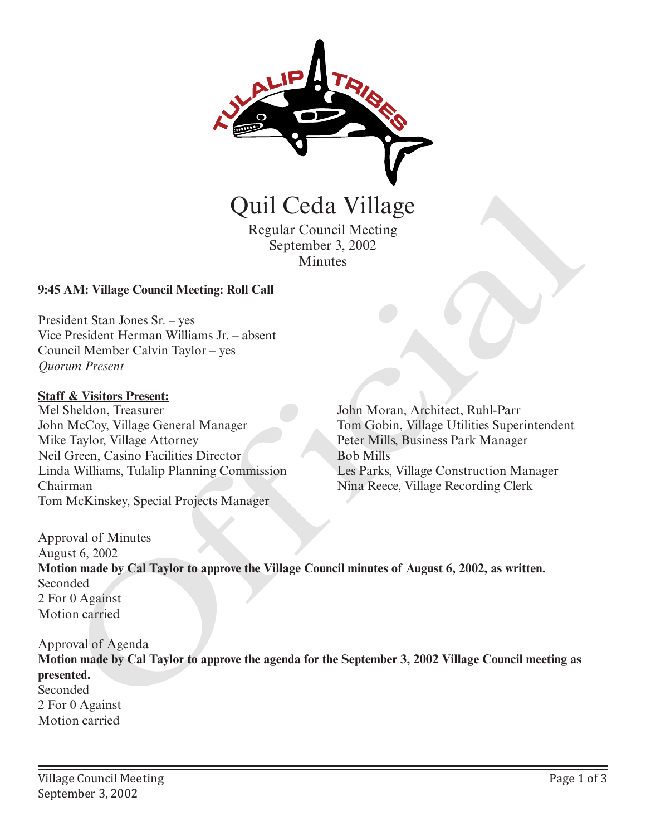

Regular Council Meeting September 3, 2002 Minutes

## **9:45 AM: Village Council Meeting: Roll Call**

President Stan Jones Sr. – yes Vice President Herman Williams Jr. – absent Council Member Calvin Taylor – yes *Quorum Present*

#### **Staff & Visitors Present:**

Mel Sheldon, Treasurer John McCoy, Village General Manager Mike Taylor, Village Attorney Neil Green, Casino Facilities Director Linda Williams, Tulalip Planning Commission Chairman Tom McKinskey, Special Projects Manager

John Moran, Architect, Ruhl-Parr Tom Gobin, Village Utilities Superintendent Peter Mills, Business Park Manager Bob Mills Les Parks, Village Construction Manager Nina Reece, Village Recording Clerk

Approval of Minutes August 6, 2002 **Motion made by Cal Taylor to approve the Village Council minutes of August 6, 2002, as written.** Seconded 2 For 0 Against Motion carried **CHATA CONTROVIDE CONTROVIDED**<br>
Regular Council Meeting<br>
September 3, 2002<br>
AM: Village Council Meeting: Roll Call<br>
dent Stan Jones Sr. – yes<br>
President Herman Williams Jr. – absent<br>
real Member Calvin Taylor – yes<br>
Willia

Approval of Agenda

**Motion made by Cal Taylor to approve the agenda for the September 3, 2002 Village Council meeting as presented.** Seconded 2 For 0 Against Motion carried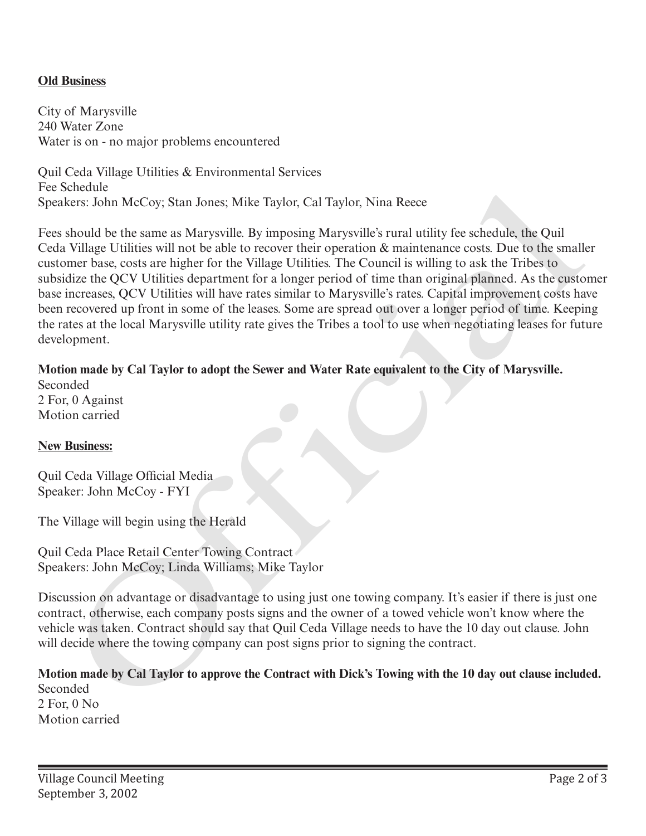## **Old Business**

City of Marysville 240 Water Zone Water is on - no major problems encountered

Quil Ceda Village Utilities & Environmental Services Fee Schedule Speakers: John McCoy; Stan Jones; Mike Taylor, Cal Taylor, Nina Reece

Fees should be the same as Marysville. By imposing Marysville's rural utility fee schedule, the Quil Ceda Village Utilities will not be able to recover their operation & maintenance costs. Due to the smaller customer base, costs are higher for the Village Utilities. The Council is willing to ask the Tribes to subsidize the QCV Utilities department for a longer period of time than original planned. As the customer base increases, QCV Utilities will have rates similar to Marysville's rates. Capital improvement costs have been recovered up front in some of the leases. Some are spread out over a longer period of time. Keeping the rates at the local Marysville utility rate gives the Tribes a tool to use when negotiating leases for future development. scheme<br>
Scheme and McCoy; Stan Jones; Mike Taylor, Cal Taylor, Nina Recee<br>
should be the same as Marysville. By imposing Marysville's trard utility fee schedule, the Quil<br>
should be the same as Marysville. By imposing Mary

## **Motion made by Cal Taylor to adopt the Sewer and Water Rate equivalent to the City of Marysville.** Seconded

2 For, 0 Against Motion carried

### **New Business:**

Quil Ceda Village Official Media Speaker: John McCoy - FYI

The Village will begin using the Herald

Quil Ceda Place Retail Center Towing Contract Speakers: John McCoy; Linda Williams; Mike Taylor

Discussion on advantage or disadvantage to using just one towing company. It's easier if there is just one contract, otherwise, each company posts signs and the owner of a towed vehicle won't know where the vehicle was taken. Contract should say that Quil Ceda Village needs to have the 10 day out clause. John will decide where the towing company can post signs prior to signing the contract.

**Motion made by Cal Taylor to approve the Contract with Dick's Towing with the 10 day out clause included.** Seconded 2 For, 0 No Motion carried